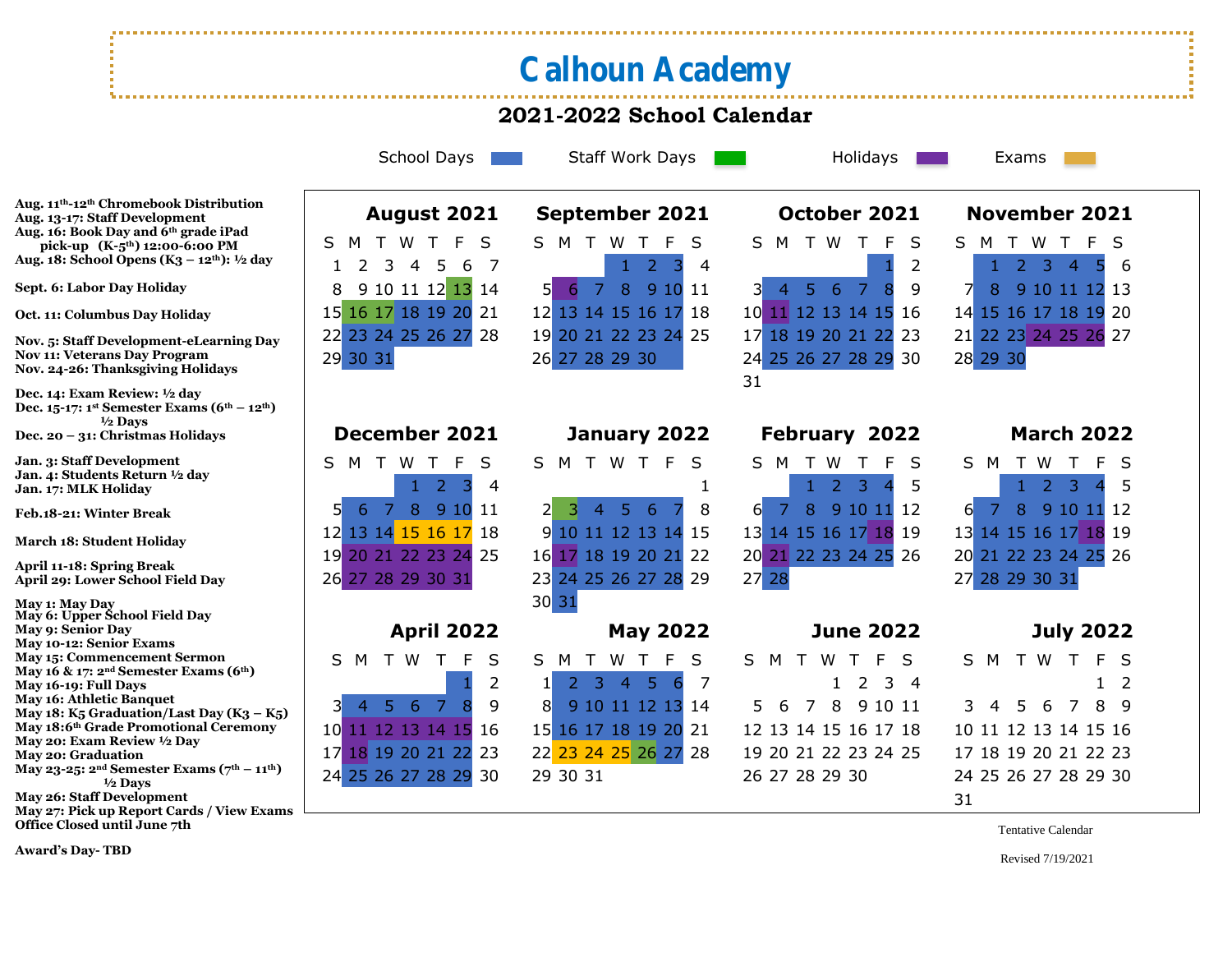## Calhoun Academy

## **2021-2022 School Calendar**

School Days **Staff Work Days Holidays** Holidays Exams

**Aug. 11th-12th Chromebook Distribution Aug. 13-17: Staff Development Aug. 16: Book Day and 6th grade iPad pick-up (K-5th) 12:00-6:00 PM Aug. 18: School Opens (K3 – 12th): ½ day**

**Sept. 6: Labor Day Holiday**

**Oct. 11: Columbus Day Holiday**

**Nov. 5: Staff Development-eLearning Day Nov 11: Veterans Day Program Nov. 24-26: Thanksgiving Holidays**

**Dec. 14: Exam Review: ½ day Dec. 15-17: 1st Semester Exams (6th – 12th) ½ Days Dec. 20 – 31: Christmas Holidays**

**Jan. 3: Staff Development Jan. 4: Students Return ½ day Jan. 17: MLK Holiday**

**Feb.18-21: Winter Break**

**March 18: Student Holiday**

**April 11-18: Spring Break April 29: Lower School Field Day**

**May 1: May Day May 6: Upper School Field Day May 9: Senior Day May 10-12: Senior Exams May 15: Commencement Sermon May 16 & 17: 2nd Semester Exams (6th) May 16-19: Full Days May 16: Athletic Banquet May 18: K5 Graduation/Last Day (I) May 18:6<sup>th</sup> Grade Promotional Cer May 20: Exam Review ½ Day May 20: Graduation May 23-25: 2nd Semester Exams (7th – 11th) ½ Days May 26: Staff Development May 27: Pick up Report Cards / View Exams Office Closed until June 7th**

| $\mathbf{m}_\mathbf{S}$ Duy<br>$-12^{th}$ ) | 29 30 31                                                                                                                                                             | 26 27 28 29 30                                                                                                                                               | 24 25 26 27 28 29 30<br>31                                                                                                                  | 28 29 30                                                                                                                                    |
|---------------------------------------------|----------------------------------------------------------------------------------------------------------------------------------------------------------------------|--------------------------------------------------------------------------------------------------------------------------------------------------------------|---------------------------------------------------------------------------------------------------------------------------------------------|---------------------------------------------------------------------------------------------------------------------------------------------|
|                                             | December 2021                                                                                                                                                        | January 2022                                                                                                                                                 | February 2022                                                                                                                               | <b>March 2022</b>                                                                                                                           |
|                                             | W<br>M<br>S<br>S.<br>-F<br>$\mathcal{L}$<br>4<br>7<br>8<br>5 <sup>1</sup><br>9 10<br>6<br>11<br>12 13 14 15 16 17<br>18<br>19 20 21 22 23 24 25<br>26 27 28 29 30 31 | S M T<br>W<br>-S<br>F.<br>5 <sup>1</sup><br>8<br>-6<br>$\overline{4}$<br>11 12 13 14<br>9<br>-15<br>17 18 19 20 21 22<br>16<br>23 24 25 26 27 28 29<br>30 31 | S.<br>M<br>S<br>W<br>-3<br>$\mathcal{P}$<br>5<br>$6 \mid$<br>8<br>9 10 11<br>12<br>14 15 16 17 18 19<br>13<br>20 21 22 23 24 25 26<br>27 28 | S.<br>M<br>W<br>F<br>S<br>-3<br>$\mathcal{P}$<br>6<br>8<br>9 10 11<br>-12<br>13 14 15 16 17 18 19<br>20 21 22 23 24 25 26<br>27 28 29 30 31 |
|                                             | <b>April 2022</b>                                                                                                                                                    | <b>May 2022</b>                                                                                                                                              | <b>June 2022</b>                                                                                                                            | <b>July 2022</b>                                                                                                                            |
| 6 <sup>th</sup>                             | W<br>S M<br>S<br>T.<br>2<br><b>Ay</b><br>6<br><sup>7</sup><br>9<br>8<br>$\overline{4}$                                                                               | S<br>S<br>W<br>F<br>M<br>-5<br>4<br>7<br>6<br>8<br>9 10 11 12 13 14                                                                                          | S.<br>M<br>W.<br>S<br>$\top$<br>$\mathcal{L}$<br>3<br>$\overline{4}$<br>8<br>9 10 11<br>7<br>5.<br>6                                        | S.<br>M<br>$\top$<br>W<br>F.<br><sub>S</sub><br>2<br>3<br>8 9<br>5<br>6<br>7<br>$\overline{4}$                                              |
| $K_3 - K_5$<br>emony<br>$th - 11th$         | 12 13 14 15<br>10 <sup>°</sup><br>16<br>17 18 19 20 21 22<br>23                                                                                                      | 15 16 17 18 19 20 21<br>22 23 24 25 26 27 28                                                                                                                 | 12 13 14 15 16 17 18<br>19 20 21 22 23 24 25                                                                                                | 10 11 12 13 14 15 16<br>17 18 19 20 21 22 23                                                                                                |
| $\mathbf{r}$                                | 24 25 26 27 28 29<br>30                                                                                                                                              | 29 30 31                                                                                                                                                     | 26 27 28 29 30                                                                                                                              | 24 25 26 27 28 29 30<br>31                                                                                                                  |

**August 2021 September 2021 October 2021 November 2021** S M T W T F S S M T W T F S S M T W T F S S M T W T F S 2 3 4 5 6 7 1 2 3 4 1 2 1 2 3 4 5 6 9 10 11 12 13 14 5 6 7 8 9 10 11 3 4 5 6 7 8 9 7 8 9 10 11 12 13 16 17 18 19 20 21 12 13 14 15 16 17 18 10 11 12 13 14 15 16 14 15 16 17 18 19 20 23 24 25 26 27 28 19 20 21 22 23 24 25 17 18 19 20 21 22 23 21 22 23 24 25 26 27

## **December 2021 January 2022 February 2022 March 2022**

|  | S M T W T F S        |                                     |  |  |
|--|----------------------|-------------------------------------|--|--|
|  |                      | $1 \quad 2 \quad 3 \quad 4 \quad 5$ |  |  |
|  | 6 7 8 9 10 11 12     |                                     |  |  |
|  | 13 14 15 16 17 18 19 |                                     |  |  |
|  | 20 21 22 23 24 25 26 |                                     |  |  |
|  | 27 28 29 30 31       |                                     |  |  |
|  |                      |                                     |  |  |

## **April 2022 May 2022 June 2022 July 2022** S S M T W T F S 10 11 12 13 14 15 16 15 16 17 18 19 20 21 12 13 14 15 16 17 18 10 11 12 13 14 15 16 17 18 19 20 21 22 23 22 23 24 25 26 27 28 19 20 21 22 23 24 25 17 18 19 20 21 22 23 24 25 26 27 28 29 30 29 30 31 26 27 28 29 30 24 25 26 27 28 29 30

Tentative Calendar

**Award's Day- TBD**

Revised 7/19/2021